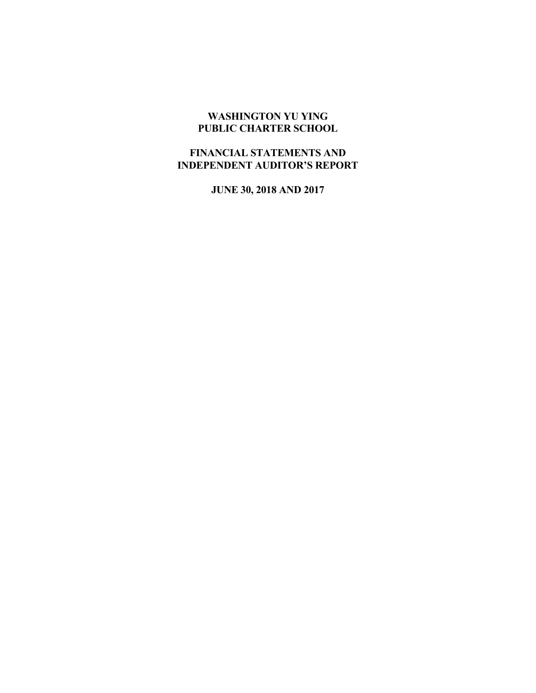## **WASHINGTON YU YING PUBLIC CHARTER SCHOOL**

## **FINANCIAL STATEMENTS AND INDEPENDENT AUDITOR'S REPORT**

**JUNE 30, 2018 AND 2017**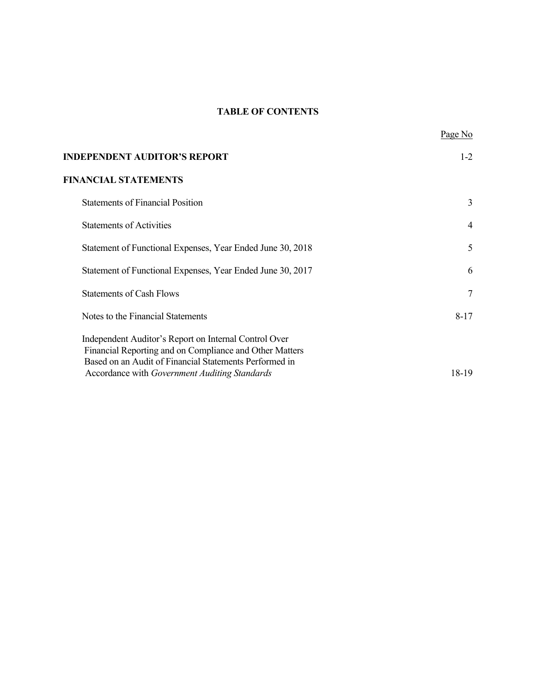## **TABLE OF CONTENTS**

|                                                                                                                                                                            | Page No  |
|----------------------------------------------------------------------------------------------------------------------------------------------------------------------------|----------|
| <b>INDEPENDENT AUDITOR'S REPORT</b>                                                                                                                                        | $1-2$    |
| <b>FINANCIAL STATEMENTS</b>                                                                                                                                                |          |
| <b>Statements of Financial Position</b>                                                                                                                                    | 3        |
| <b>Statements of Activities</b>                                                                                                                                            | 4        |
| Statement of Functional Expenses, Year Ended June 30, 2018                                                                                                                 | 5        |
| Statement of Functional Expenses, Year Ended June 30, 2017                                                                                                                 | 6        |
| <b>Statements of Cash Flows</b>                                                                                                                                            | 7        |
| Notes to the Financial Statements                                                                                                                                          | $8 - 17$ |
| Independent Auditor's Report on Internal Control Over<br>Financial Reporting and on Compliance and Other Matters<br>Based on an Audit of Financial Statements Performed in |          |
| Accordance with Government Auditing Standards                                                                                                                              | 18-19    |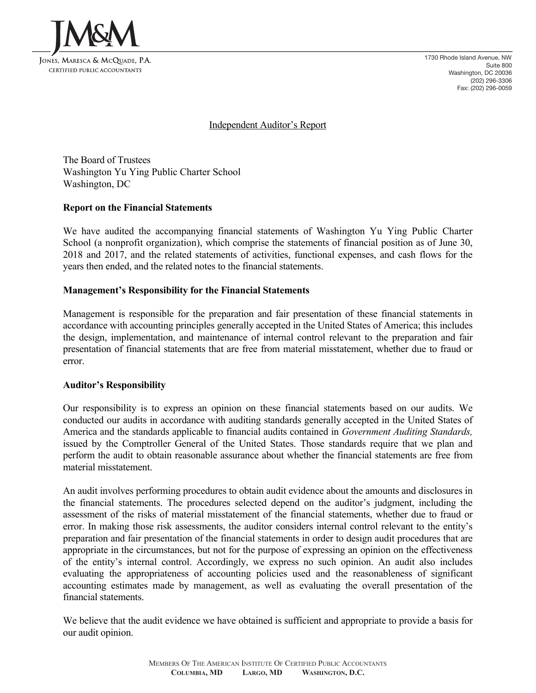

1730 Rhode Island Avenue, NW Suite 800 Washington, DC 20036 (202) 296-3306 Fax: (202) 296-0059

Independent Auditor's Report

The Board of Trustees Washington Yu Ying Public Charter School Washington, DC

## **Report on the Financial Statements**

We have audited the accompanying financial statements of Washington Yu Ying Public Charter School (a nonprofit organization), which comprise the statements of financial position as of June 30, 2018 and 2017, and the related statements of activities, functional expenses, and cash flows for the years then ended, and the related notes to the financial statements.

## **Management's Responsibility for the Financial Statements**

Management is responsible for the preparation and fair presentation of these financial statements in accordance with accounting principles generally accepted in the United States of America; this includes the design, implementation, and maintenance of internal control relevant to the preparation and fair presentation of financial statements that are free from material misstatement, whether due to fraud or error.

## **Auditor's Responsibility**

Our responsibility is to express an opinion on these financial statements based on our audits. We conducted our audits in accordance with auditing standards generally accepted in the United States of America and the standards applicable to financial audits contained in *Government Auditing Standards,* issued by the Comptroller General of the United States. Those standards require that we plan and perform the audit to obtain reasonable assurance about whether the financial statements are free from material misstatement.

An audit involves performing procedures to obtain audit evidence about the amounts and disclosures in the financial statements. The procedures selected depend on the auditor's judgment, including the assessment of the risks of material misstatement of the financial statements, whether due to fraud or error. In making those risk assessments, the auditor considers internal control relevant to the entity's preparation and fair presentation of the financial statements in order to design audit procedures that are appropriate in the circumstances, but not for the purpose of expressing an opinion on the effectiveness of the entity's internal control. Accordingly, we express no such opinion. An audit also includes evaluating the appropriateness of accounting policies used and the reasonableness of significant accounting estimates made by management, as well as evaluating the overall presentation of the financial statements.

We believe that the audit evidence we have obtained is sufficient and appropriate to provide a basis for our audit opinion.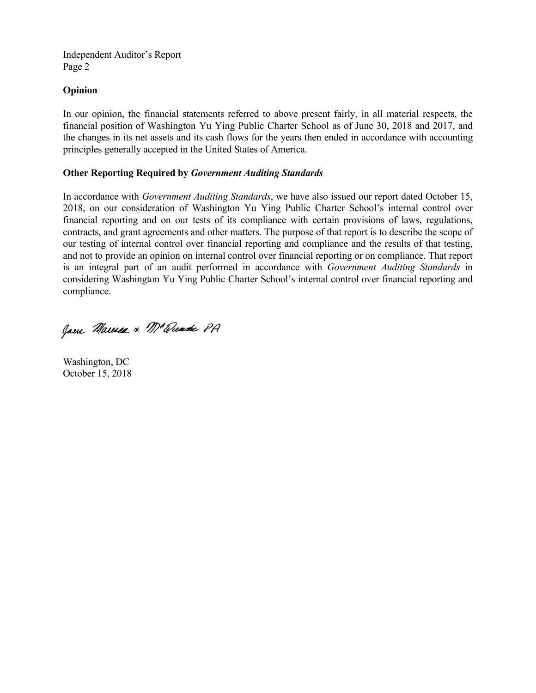Independent Auditor's Report Page 2

## **Opinion**

In our opinion, the financial statements referred to above present fairly, in all material respects, the financial position of Washington Yu Ying Public Charter School as of June 30, 2018 and 2017, and the changes in its net assets and its cash flows for the years then ended in accordance with accounting principles generally accepted in the United States of America.

## **Other Reporting Required by** *Government Auditing Standards*

In accordance with *Government Auditing Standards*, we have also issued our report dated October 15, 2018, on our consideration of Washington Yu Ying Public Charter School's internal control over financial reporting and on our tests of its compliance with certain provisions of laws, regulations, contracts, and grant agreements and other matters. The purpose of that report is to describe the scope of our testing of internal control over financial reporting and compliance and the results of that testing, and not to provide an opinion on internal control over financial reporting or on compliance. That report is an integral part of an audit performed in accordance with *Government Auditing Standards* in considering Washington Yu Ying Public Charter School's internal control over financial reporting and compliance.

Jam Marinea & Mc Quade PA

Washington, DC October 15, 2018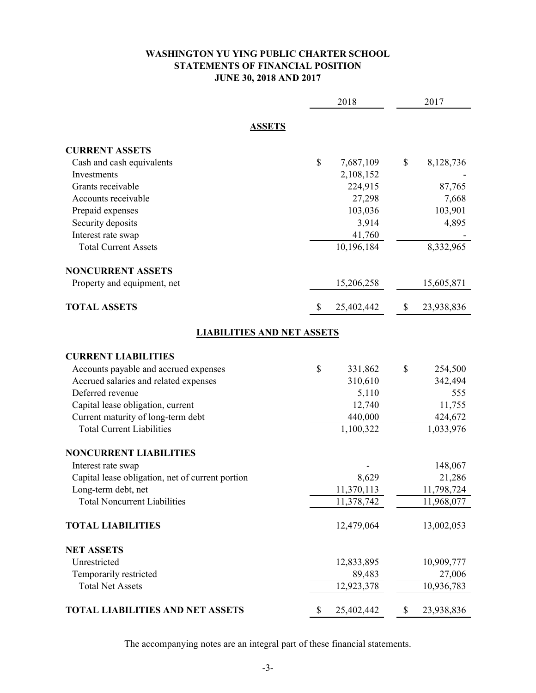## **WASHINGTON YU YING PUBLIC CHARTER SCHOOL STATEMENTS OF FINANCIAL POSITION JUNE 30, 2018 AND 2017**

|                                                  | 2018         |            |    | 2017       |
|--------------------------------------------------|--------------|------------|----|------------|
| <b>ASSETS</b>                                    |              |            |    |            |
| <b>CURRENT ASSETS</b>                            |              |            |    |            |
| Cash and cash equivalents                        | $\mathbb{S}$ | 7,687,109  | \$ | 8,128,736  |
| Investments                                      |              | 2,108,152  |    |            |
| Grants receivable                                |              | 224,915    |    | 87,765     |
| Accounts receivable                              |              | 27,298     |    | 7,668      |
| Prepaid expenses                                 |              | 103,036    |    | 103,901    |
| Security deposits                                |              | 3,914      |    | 4,895      |
| Interest rate swap                               |              | 41,760     |    |            |
| <b>Total Current Assets</b>                      |              | 10,196,184 |    | 8,332,965  |
| <b>NONCURRENT ASSETS</b>                         |              |            |    |            |
| Property and equipment, net                      |              | 15,206,258 |    | 15,605,871 |
| <b>TOTAL ASSETS</b>                              | S            | 25,402,442 | \$ | 23,938,836 |
| <b>LIABILITIES AND NET ASSETS</b>                |              |            |    |            |
| <b>CURRENT LIABILITIES</b>                       |              |            |    |            |
| Accounts payable and accrued expenses            | $\mathbf S$  | 331,862    | \$ | 254,500    |
| Accrued salaries and related expenses            |              | 310,610    |    | 342,494    |
| Deferred revenue                                 |              | 5,110      |    | 555        |
| Capital lease obligation, current                |              | 12,740     |    | 11,755     |
| Current maturity of long-term debt               |              | 440,000    |    | 424,672    |
| <b>Total Current Liabilities</b>                 |              | 1,100,322  |    | 1,033,976  |
| <b>NONCURRENT LIABILITIES</b>                    |              |            |    |            |
| Interest rate swap                               |              |            |    | 148,067    |
| Capital lease obligation, net of current portion |              | 8,629      |    | 21,286     |
| Long-term debt, net                              |              | 11,370,113 |    | 11,798,724 |
| <b>Total Noncurrent Liabilities</b>              |              | 11,378,742 |    | 11,968,077 |
| <b>TOTAL LIABILITIES</b>                         |              | 12,479,064 |    | 13,002,053 |
| <b>NET ASSETS</b>                                |              |            |    |            |
| Unrestricted                                     |              | 12,833,895 |    | 10,909,777 |
| Temporarily restricted                           |              | 89,483     |    | 27,006     |
| <b>Total Net Assets</b>                          |              | 12,923,378 |    | 10,936,783 |
| <b>TOTAL LIABILITIES AND NET ASSETS</b>          | Ÿ            | 25,402,442 | \$ | 23,938,836 |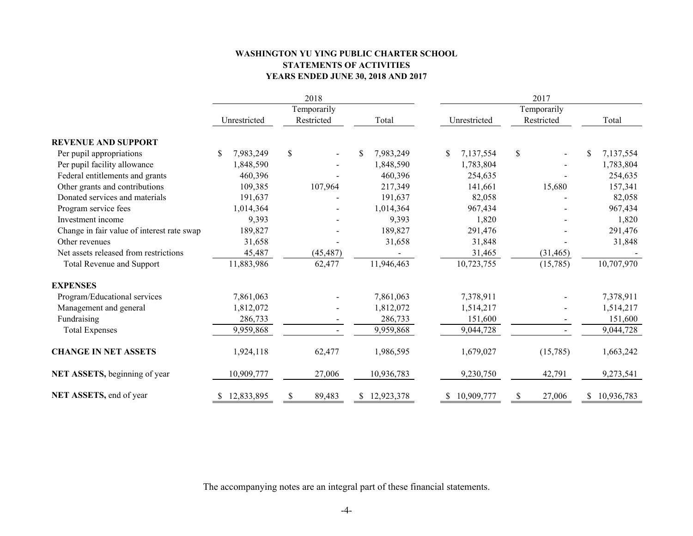## **WASHINGTON YU YING PUBLIC CHARTER SCHOOL STATEMENTS OF ACTIVITIES YEARS ENDED JUNE 30, 2018 AND 2017**

|                                            |                  | 2018         |              | 2017            |                |                 |  |  |
|--------------------------------------------|------------------|--------------|--------------|-----------------|----------------|-----------------|--|--|
|                                            |                  | Temporarily  |              | Temporarily     |                |                 |  |  |
|                                            | Unrestricted     | Restricted   | Total        | Unrestricted    | Restricted     | Total           |  |  |
| <b>REVENUE AND SUPPORT</b>                 |                  |              |              |                 |                |                 |  |  |
| Per pupil appropriations                   | \$<br>7,983,249  | \$           | 7,983,249    | 7,137,554<br>\$ | \$             | 7,137,554<br>\$ |  |  |
| Per pupil facility allowance               | 1,848,590        |              | 1,848,590    | 1,783,804       |                | 1,783,804       |  |  |
| Federal entitlements and grants            | 460,396          |              | 460,396      | 254,635         |                | 254,635         |  |  |
| Other grants and contributions             | 109,385          | 107,964      | 217,349      | 141,661         | 15,680         | 157,341         |  |  |
| Donated services and materials             | 191,637          |              | 191,637      | 82,058          |                | 82,058          |  |  |
| Program service fees                       | 1,014,364        |              | 1,014,364    | 967,434         |                | 967,434         |  |  |
| Investment income                          | 9,393            |              | 9,393        | 1,820           |                | 1,820           |  |  |
| Change in fair value of interest rate swap | 189,827          |              | 189,827      | 291,476         |                | 291,476         |  |  |
| Other revenues                             | 31,658           |              | 31,658       | 31,848          |                | 31,848          |  |  |
| Net assets released from restrictions      | 45,487           | (45, 487)    |              | 31,465          | (31, 465)      |                 |  |  |
| <b>Total Revenue and Support</b>           | 11,883,986       | 62,477       | 11,946,463   | 10,723,755      | (15,785)       | 10,707,970      |  |  |
| <b>EXPENSES</b>                            |                  |              |              |                 |                |                 |  |  |
| Program/Educational services               | 7,861,063        |              | 7,861,063    | 7,378,911       |                | 7,378,911       |  |  |
| Management and general                     | 1,812,072        |              | 1,812,072    | 1,514,217       | $\overline{a}$ | 1,514,217       |  |  |
| Fundraising                                | 286,733          |              | 286,733      | 151,600         |                | 151,600         |  |  |
| <b>Total Expenses</b>                      | 9,959,868        | $\sim$       | 9,959,868    | 9,044,728       |                | 9,044,728       |  |  |
| <b>CHANGE IN NET ASSETS</b>                | 1,924,118        | 62,477       | 1,986,595    | 1,679,027       | (15,785)       | 1,663,242       |  |  |
| NET ASSETS, beginning of year              | 10,909,777       | 27,006       | 10,936,783   | 9,230,750       | 42,791         | 9,273,541       |  |  |
| NET ASSETS, end of year                    | 12,833,895<br>\$ | \$<br>89,483 | \$12,923,378 | \$10,909,777    | \$<br>27,006   | \$10,936,783    |  |  |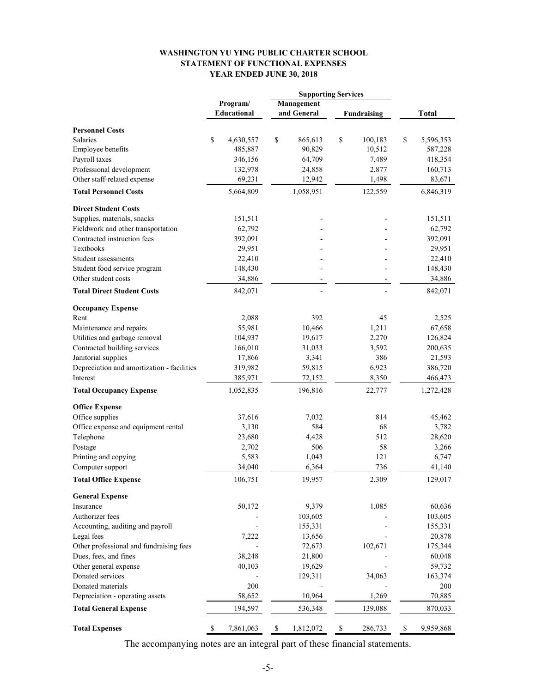#### **WASHINGTON YU YING PUBLIC CHARTER SCHOOL STATEMENT OF FUNCTIONAL EXPENSES YEAR ENDED JUNE 30, 2018**

| Management<br>Program/<br>Educational<br>and General<br><b>Fundraising</b><br><b>Total</b><br><b>Personnel Costs</b><br>\$<br>\$<br>\$<br><b>Salaries</b><br>4,630,557<br>\$<br>865,613<br>100,183<br>5,596,353<br>90,829<br>10,512<br>Employee benefits<br>485,887<br>587,228<br>Payroll taxes<br>346,156<br>64,709<br>7,489<br>418,354<br>Professional development<br>132,978<br>24,858<br>2,877<br>160,713<br>Other staff-related expense<br>69,231<br>12,942<br>1,498<br>83,671<br><b>Total Personnel Costs</b><br>5,664,809<br>1,058,951<br>122,559<br>6,846,319<br><b>Direct Student Costs</b><br>Supplies, materials, snacks<br>151,511<br>151,511<br>Fieldwork and other transportation<br>62,792<br>62,792<br>Contracted instruction fees<br>392,091<br>392,091<br>Textbooks<br>29,951<br>29,951<br>22,410<br>22,410<br>Student assessments<br>Student food service program<br>148,430<br>148,430<br>Other student costs<br>34,886<br>34,886<br><b>Total Direct Student Costs</b><br>842,071<br>842,071<br><b>Occupancy Expense</b><br>Rent<br>392<br>2,088<br>45<br>2,525<br>55,981<br>10,466<br>1,211<br>67,658<br>Maintenance and repairs<br>Utilities and garbage removal<br>104,937<br>2,270<br>19,617<br>126,824<br>Contracted building services<br>166,010<br>3,592<br>31,033<br>200,635<br>386<br>Janitorial supplies<br>17,866<br>3,341<br>21,593<br>Depreciation and amortization - facilities<br>6,923<br>319,982<br>59,815<br>386,720<br>Interest<br>8,350<br>385,971<br>72,152<br>466,473<br>196,816<br><b>Total Occupancy Expense</b><br>1,052,835<br>22,777<br>1,272,428<br><b>Office Expense</b><br>Office supplies<br>37,616<br>814<br>7,032<br>45,462<br>Office expense and equipment rental<br>584<br>3,130<br>68<br>3,782<br>Telephone<br>512<br>23,680<br>4,428<br>28,620<br>Postage<br>2,702<br>506<br>58<br>3,266<br>Printing and copying<br>121<br>5,583<br>1,043<br>6,747<br>Computer support<br>34,040<br>6,364<br>736<br>41,140<br>2,309<br>129,017<br><b>Total Office Expense</b><br>106,751<br>19,957 |
|---------------------------------------------------------------------------------------------------------------------------------------------------------------------------------------------------------------------------------------------------------------------------------------------------------------------------------------------------------------------------------------------------------------------------------------------------------------------------------------------------------------------------------------------------------------------------------------------------------------------------------------------------------------------------------------------------------------------------------------------------------------------------------------------------------------------------------------------------------------------------------------------------------------------------------------------------------------------------------------------------------------------------------------------------------------------------------------------------------------------------------------------------------------------------------------------------------------------------------------------------------------------------------------------------------------------------------------------------------------------------------------------------------------------------------------------------------------------------------------------------------------------------------------------------------------------------------------------------------------------------------------------------------------------------------------------------------------------------------------------------------------------------------------------------------------------------------------------------------------------------------------------------------------------------------------------------------------------------------------------------------------------------------------------|
|                                                                                                                                                                                                                                                                                                                                                                                                                                                                                                                                                                                                                                                                                                                                                                                                                                                                                                                                                                                                                                                                                                                                                                                                                                                                                                                                                                                                                                                                                                                                                                                                                                                                                                                                                                                                                                                                                                                                                                                                                                             |
|                                                                                                                                                                                                                                                                                                                                                                                                                                                                                                                                                                                                                                                                                                                                                                                                                                                                                                                                                                                                                                                                                                                                                                                                                                                                                                                                                                                                                                                                                                                                                                                                                                                                                                                                                                                                                                                                                                                                                                                                                                             |
|                                                                                                                                                                                                                                                                                                                                                                                                                                                                                                                                                                                                                                                                                                                                                                                                                                                                                                                                                                                                                                                                                                                                                                                                                                                                                                                                                                                                                                                                                                                                                                                                                                                                                                                                                                                                                                                                                                                                                                                                                                             |
|                                                                                                                                                                                                                                                                                                                                                                                                                                                                                                                                                                                                                                                                                                                                                                                                                                                                                                                                                                                                                                                                                                                                                                                                                                                                                                                                                                                                                                                                                                                                                                                                                                                                                                                                                                                                                                                                                                                                                                                                                                             |
|                                                                                                                                                                                                                                                                                                                                                                                                                                                                                                                                                                                                                                                                                                                                                                                                                                                                                                                                                                                                                                                                                                                                                                                                                                                                                                                                                                                                                                                                                                                                                                                                                                                                                                                                                                                                                                                                                                                                                                                                                                             |
|                                                                                                                                                                                                                                                                                                                                                                                                                                                                                                                                                                                                                                                                                                                                                                                                                                                                                                                                                                                                                                                                                                                                                                                                                                                                                                                                                                                                                                                                                                                                                                                                                                                                                                                                                                                                                                                                                                                                                                                                                                             |
|                                                                                                                                                                                                                                                                                                                                                                                                                                                                                                                                                                                                                                                                                                                                                                                                                                                                                                                                                                                                                                                                                                                                                                                                                                                                                                                                                                                                                                                                                                                                                                                                                                                                                                                                                                                                                                                                                                                                                                                                                                             |
|                                                                                                                                                                                                                                                                                                                                                                                                                                                                                                                                                                                                                                                                                                                                                                                                                                                                                                                                                                                                                                                                                                                                                                                                                                                                                                                                                                                                                                                                                                                                                                                                                                                                                                                                                                                                                                                                                                                                                                                                                                             |
|                                                                                                                                                                                                                                                                                                                                                                                                                                                                                                                                                                                                                                                                                                                                                                                                                                                                                                                                                                                                                                                                                                                                                                                                                                                                                                                                                                                                                                                                                                                                                                                                                                                                                                                                                                                                                                                                                                                                                                                                                                             |
|                                                                                                                                                                                                                                                                                                                                                                                                                                                                                                                                                                                                                                                                                                                                                                                                                                                                                                                                                                                                                                                                                                                                                                                                                                                                                                                                                                                                                                                                                                                                                                                                                                                                                                                                                                                                                                                                                                                                                                                                                                             |
|                                                                                                                                                                                                                                                                                                                                                                                                                                                                                                                                                                                                                                                                                                                                                                                                                                                                                                                                                                                                                                                                                                                                                                                                                                                                                                                                                                                                                                                                                                                                                                                                                                                                                                                                                                                                                                                                                                                                                                                                                                             |
|                                                                                                                                                                                                                                                                                                                                                                                                                                                                                                                                                                                                                                                                                                                                                                                                                                                                                                                                                                                                                                                                                                                                                                                                                                                                                                                                                                                                                                                                                                                                                                                                                                                                                                                                                                                                                                                                                                                                                                                                                                             |
|                                                                                                                                                                                                                                                                                                                                                                                                                                                                                                                                                                                                                                                                                                                                                                                                                                                                                                                                                                                                                                                                                                                                                                                                                                                                                                                                                                                                                                                                                                                                                                                                                                                                                                                                                                                                                                                                                                                                                                                                                                             |
|                                                                                                                                                                                                                                                                                                                                                                                                                                                                                                                                                                                                                                                                                                                                                                                                                                                                                                                                                                                                                                                                                                                                                                                                                                                                                                                                                                                                                                                                                                                                                                                                                                                                                                                                                                                                                                                                                                                                                                                                                                             |
|                                                                                                                                                                                                                                                                                                                                                                                                                                                                                                                                                                                                                                                                                                                                                                                                                                                                                                                                                                                                                                                                                                                                                                                                                                                                                                                                                                                                                                                                                                                                                                                                                                                                                                                                                                                                                                                                                                                                                                                                                                             |
|                                                                                                                                                                                                                                                                                                                                                                                                                                                                                                                                                                                                                                                                                                                                                                                                                                                                                                                                                                                                                                                                                                                                                                                                                                                                                                                                                                                                                                                                                                                                                                                                                                                                                                                                                                                                                                                                                                                                                                                                                                             |
|                                                                                                                                                                                                                                                                                                                                                                                                                                                                                                                                                                                                                                                                                                                                                                                                                                                                                                                                                                                                                                                                                                                                                                                                                                                                                                                                                                                                                                                                                                                                                                                                                                                                                                                                                                                                                                                                                                                                                                                                                                             |
|                                                                                                                                                                                                                                                                                                                                                                                                                                                                                                                                                                                                                                                                                                                                                                                                                                                                                                                                                                                                                                                                                                                                                                                                                                                                                                                                                                                                                                                                                                                                                                                                                                                                                                                                                                                                                                                                                                                                                                                                                                             |
|                                                                                                                                                                                                                                                                                                                                                                                                                                                                                                                                                                                                                                                                                                                                                                                                                                                                                                                                                                                                                                                                                                                                                                                                                                                                                                                                                                                                                                                                                                                                                                                                                                                                                                                                                                                                                                                                                                                                                                                                                                             |
|                                                                                                                                                                                                                                                                                                                                                                                                                                                                                                                                                                                                                                                                                                                                                                                                                                                                                                                                                                                                                                                                                                                                                                                                                                                                                                                                                                                                                                                                                                                                                                                                                                                                                                                                                                                                                                                                                                                                                                                                                                             |
|                                                                                                                                                                                                                                                                                                                                                                                                                                                                                                                                                                                                                                                                                                                                                                                                                                                                                                                                                                                                                                                                                                                                                                                                                                                                                                                                                                                                                                                                                                                                                                                                                                                                                                                                                                                                                                                                                                                                                                                                                                             |
|                                                                                                                                                                                                                                                                                                                                                                                                                                                                                                                                                                                                                                                                                                                                                                                                                                                                                                                                                                                                                                                                                                                                                                                                                                                                                                                                                                                                                                                                                                                                                                                                                                                                                                                                                                                                                                                                                                                                                                                                                                             |
|                                                                                                                                                                                                                                                                                                                                                                                                                                                                                                                                                                                                                                                                                                                                                                                                                                                                                                                                                                                                                                                                                                                                                                                                                                                                                                                                                                                                                                                                                                                                                                                                                                                                                                                                                                                                                                                                                                                                                                                                                                             |
|                                                                                                                                                                                                                                                                                                                                                                                                                                                                                                                                                                                                                                                                                                                                                                                                                                                                                                                                                                                                                                                                                                                                                                                                                                                                                                                                                                                                                                                                                                                                                                                                                                                                                                                                                                                                                                                                                                                                                                                                                                             |
|                                                                                                                                                                                                                                                                                                                                                                                                                                                                                                                                                                                                                                                                                                                                                                                                                                                                                                                                                                                                                                                                                                                                                                                                                                                                                                                                                                                                                                                                                                                                                                                                                                                                                                                                                                                                                                                                                                                                                                                                                                             |
|                                                                                                                                                                                                                                                                                                                                                                                                                                                                                                                                                                                                                                                                                                                                                                                                                                                                                                                                                                                                                                                                                                                                                                                                                                                                                                                                                                                                                                                                                                                                                                                                                                                                                                                                                                                                                                                                                                                                                                                                                                             |
|                                                                                                                                                                                                                                                                                                                                                                                                                                                                                                                                                                                                                                                                                                                                                                                                                                                                                                                                                                                                                                                                                                                                                                                                                                                                                                                                                                                                                                                                                                                                                                                                                                                                                                                                                                                                                                                                                                                                                                                                                                             |
|                                                                                                                                                                                                                                                                                                                                                                                                                                                                                                                                                                                                                                                                                                                                                                                                                                                                                                                                                                                                                                                                                                                                                                                                                                                                                                                                                                                                                                                                                                                                                                                                                                                                                                                                                                                                                                                                                                                                                                                                                                             |
|                                                                                                                                                                                                                                                                                                                                                                                                                                                                                                                                                                                                                                                                                                                                                                                                                                                                                                                                                                                                                                                                                                                                                                                                                                                                                                                                                                                                                                                                                                                                                                                                                                                                                                                                                                                                                                                                                                                                                                                                                                             |
|                                                                                                                                                                                                                                                                                                                                                                                                                                                                                                                                                                                                                                                                                                                                                                                                                                                                                                                                                                                                                                                                                                                                                                                                                                                                                                                                                                                                                                                                                                                                                                                                                                                                                                                                                                                                                                                                                                                                                                                                                                             |
|                                                                                                                                                                                                                                                                                                                                                                                                                                                                                                                                                                                                                                                                                                                                                                                                                                                                                                                                                                                                                                                                                                                                                                                                                                                                                                                                                                                                                                                                                                                                                                                                                                                                                                                                                                                                                                                                                                                                                                                                                                             |
|                                                                                                                                                                                                                                                                                                                                                                                                                                                                                                                                                                                                                                                                                                                                                                                                                                                                                                                                                                                                                                                                                                                                                                                                                                                                                                                                                                                                                                                                                                                                                                                                                                                                                                                                                                                                                                                                                                                                                                                                                                             |
|                                                                                                                                                                                                                                                                                                                                                                                                                                                                                                                                                                                                                                                                                                                                                                                                                                                                                                                                                                                                                                                                                                                                                                                                                                                                                                                                                                                                                                                                                                                                                                                                                                                                                                                                                                                                                                                                                                                                                                                                                                             |
|                                                                                                                                                                                                                                                                                                                                                                                                                                                                                                                                                                                                                                                                                                                                                                                                                                                                                                                                                                                                                                                                                                                                                                                                                                                                                                                                                                                                                                                                                                                                                                                                                                                                                                                                                                                                                                                                                                                                                                                                                                             |
|                                                                                                                                                                                                                                                                                                                                                                                                                                                                                                                                                                                                                                                                                                                                                                                                                                                                                                                                                                                                                                                                                                                                                                                                                                                                                                                                                                                                                                                                                                                                                                                                                                                                                                                                                                                                                                                                                                                                                                                                                                             |
|                                                                                                                                                                                                                                                                                                                                                                                                                                                                                                                                                                                                                                                                                                                                                                                                                                                                                                                                                                                                                                                                                                                                                                                                                                                                                                                                                                                                                                                                                                                                                                                                                                                                                                                                                                                                                                                                                                                                                                                                                                             |
|                                                                                                                                                                                                                                                                                                                                                                                                                                                                                                                                                                                                                                                                                                                                                                                                                                                                                                                                                                                                                                                                                                                                                                                                                                                                                                                                                                                                                                                                                                                                                                                                                                                                                                                                                                                                                                                                                                                                                                                                                                             |
| <b>General Expense</b>                                                                                                                                                                                                                                                                                                                                                                                                                                                                                                                                                                                                                                                                                                                                                                                                                                                                                                                                                                                                                                                                                                                                                                                                                                                                                                                                                                                                                                                                                                                                                                                                                                                                                                                                                                                                                                                                                                                                                                                                                      |
| 50,172<br>9,379<br>1,085<br>60,636<br>Insurance                                                                                                                                                                                                                                                                                                                                                                                                                                                                                                                                                                                                                                                                                                                                                                                                                                                                                                                                                                                                                                                                                                                                                                                                                                                                                                                                                                                                                                                                                                                                                                                                                                                                                                                                                                                                                                                                                                                                                                                             |
| 103,605<br>Authorizer fees<br>103,605                                                                                                                                                                                                                                                                                                                                                                                                                                                                                                                                                                                                                                                                                                                                                                                                                                                                                                                                                                                                                                                                                                                                                                                                                                                                                                                                                                                                                                                                                                                                                                                                                                                                                                                                                                                                                                                                                                                                                                                                       |
| 155,331<br>Accounting, auditing and payroll<br>155,331                                                                                                                                                                                                                                                                                                                                                                                                                                                                                                                                                                                                                                                                                                                                                                                                                                                                                                                                                                                                                                                                                                                                                                                                                                                                                                                                                                                                                                                                                                                                                                                                                                                                                                                                                                                                                                                                                                                                                                                      |
| 20,878<br>Legal fees<br>7,222<br>13,656                                                                                                                                                                                                                                                                                                                                                                                                                                                                                                                                                                                                                                                                                                                                                                                                                                                                                                                                                                                                                                                                                                                                                                                                                                                                                                                                                                                                                                                                                                                                                                                                                                                                                                                                                                                                                                                                                                                                                                                                     |
| Other professional and fundraising fees<br>72,673<br>102,671<br>175,344                                                                                                                                                                                                                                                                                                                                                                                                                                                                                                                                                                                                                                                                                                                                                                                                                                                                                                                                                                                                                                                                                                                                                                                                                                                                                                                                                                                                                                                                                                                                                                                                                                                                                                                                                                                                                                                                                                                                                                     |
| Dues, fees, and fines<br>38,248<br>21,800<br>60,048                                                                                                                                                                                                                                                                                                                                                                                                                                                                                                                                                                                                                                                                                                                                                                                                                                                                                                                                                                                                                                                                                                                                                                                                                                                                                                                                                                                                                                                                                                                                                                                                                                                                                                                                                                                                                                                                                                                                                                                         |
| Other general expense<br>40,103<br>19,629<br>59,732                                                                                                                                                                                                                                                                                                                                                                                                                                                                                                                                                                                                                                                                                                                                                                                                                                                                                                                                                                                                                                                                                                                                                                                                                                                                                                                                                                                                                                                                                                                                                                                                                                                                                                                                                                                                                                                                                                                                                                                         |
| Donated services<br>129,311<br>163,374<br>34,063                                                                                                                                                                                                                                                                                                                                                                                                                                                                                                                                                                                                                                                                                                                                                                                                                                                                                                                                                                                                                                                                                                                                                                                                                                                                                                                                                                                                                                                                                                                                                                                                                                                                                                                                                                                                                                                                                                                                                                                            |
| Donated materials<br>200<br>200                                                                                                                                                                                                                                                                                                                                                                                                                                                                                                                                                                                                                                                                                                                                                                                                                                                                                                                                                                                                                                                                                                                                                                                                                                                                                                                                                                                                                                                                                                                                                                                                                                                                                                                                                                                                                                                                                                                                                                                                             |
| Depreciation - operating assets<br>58,652<br>10,964<br>1,269<br>70,885                                                                                                                                                                                                                                                                                                                                                                                                                                                                                                                                                                                                                                                                                                                                                                                                                                                                                                                                                                                                                                                                                                                                                                                                                                                                                                                                                                                                                                                                                                                                                                                                                                                                                                                                                                                                                                                                                                                                                                      |
| <b>Total General Expense</b><br>194,597<br>536,348<br>139,088<br>870,033                                                                                                                                                                                                                                                                                                                                                                                                                                                                                                                                                                                                                                                                                                                                                                                                                                                                                                                                                                                                                                                                                                                                                                                                                                                                                                                                                                                                                                                                                                                                                                                                                                                                                                                                                                                                                                                                                                                                                                    |
| <b>Total Expenses</b><br>\$<br>\$<br>\$<br>\$<br>7,861,063<br>1,812,072<br>286,733<br>9,959,868                                                                                                                                                                                                                                                                                                                                                                                                                                                                                                                                                                                                                                                                                                                                                                                                                                                                                                                                                                                                                                                                                                                                                                                                                                                                                                                                                                                                                                                                                                                                                                                                                                                                                                                                                                                                                                                                                                                                             |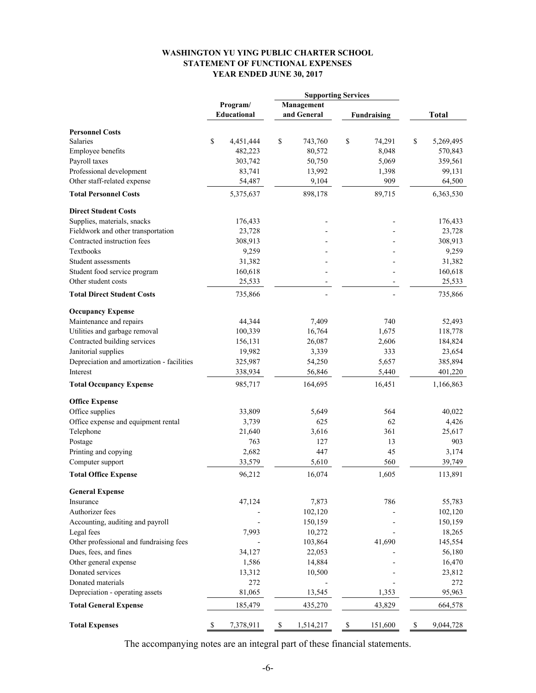#### **WASHINGTON YU YING PUBLIC CHARTER SCHOOL STATEMENT OF FUNCTIONAL EXPENSES YEAR ENDED JUNE 30, 2017**

|                                            |                    | <b>Supporting Services</b> |             |    |                    |                 |
|--------------------------------------------|--------------------|----------------------------|-------------|----|--------------------|-----------------|
|                                            | Program/           |                            | Management  |    |                    |                 |
|                                            | <b>Educational</b> |                            | and General |    | <b>Fundraising</b> | <b>Total</b>    |
| <b>Personnel Costs</b>                     |                    |                            |             |    |                    |                 |
| <b>Salaries</b>                            | \$<br>4,451,444    | \$                         | 743,760     | \$ | 74,291             | \$<br>5,269,495 |
| Employee benefits                          | 482,223            |                            | 80,572      |    | 8,048              | 570,843         |
| Payroll taxes                              | 303,742            |                            | 50,750      |    | 5,069              | 359,561         |
| Professional development                   | 83,741             |                            | 13,992      |    | 1,398              | 99,131          |
| Other staff-related expense                | 54,487             |                            | 9,104       |    | 909                | 64,500          |
| <b>Total Personnel Costs</b>               | 5,375,637          |                            | 898,178     |    | 89,715             | 6,363,530       |
| <b>Direct Student Costs</b>                |                    |                            |             |    |                    |                 |
| Supplies, materials, snacks                | 176,433            |                            |             |    |                    | 176,433         |
| Fieldwork and other transportation         | 23,728             |                            |             |    |                    | 23,728          |
| Contracted instruction fees                | 308,913            |                            |             |    |                    | 308,913         |
| <b>Textbooks</b>                           | 9,259              |                            |             |    |                    | 9,259           |
| Student assessments                        | 31,382             |                            |             |    |                    | 31,382          |
| Student food service program               | 160,618            |                            |             |    |                    | 160,618         |
| Other student costs                        | 25,533             |                            |             |    |                    | 25,533          |
| <b>Total Direct Student Costs</b>          | 735,866            |                            |             |    |                    | 735,866         |
| <b>Occupancy Expense</b>                   |                    |                            |             |    |                    |                 |
| Maintenance and repairs                    | 44,344             |                            | 7,409       |    | 740                | 52,493          |
| Utilities and garbage removal              | 100,339            |                            | 16,764      |    | 1,675              | 118,778         |
| Contracted building services               | 156,131            |                            | 26,087      |    | 2,606              | 184,824         |
| Janitorial supplies                        | 19,982             |                            | 3,339       |    | 333                | 23,654          |
| Depreciation and amortization - facilities | 325,987            |                            | 54,250      |    | 5,657              | 385,894         |
| Interest                                   | 338,934            |                            | 56,846      |    | 5,440              | 401,220         |
| <b>Total Occupancy Expense</b>             | 985,717            |                            | 164,695     |    | 16,451             | 1,166,863       |
| <b>Office Expense</b>                      |                    |                            |             |    |                    |                 |
| Office supplies                            | 33,809             |                            | 5,649       |    | 564                | 40,022          |
| Office expense and equipment rental        | 3,739              |                            | 625         |    | 62                 | 4,426           |
| Telephone                                  | 21,640             |                            | 3,616       |    | 361                | 25,617          |
| Postage                                    | 763                |                            | 127         |    | 13                 | 903             |
| Printing and copying                       | 2,682              |                            | 447         |    | 45                 | 3,174           |
| Computer support                           | 33,579             |                            | 5,610       |    | 560                | 39,749          |
| <b>Total Office Expense</b>                | 96,212             |                            | 16,074      |    | 1,605              | 113,891         |
| <b>General Expense</b>                     |                    |                            |             |    |                    |                 |
| Insurance                                  | 47,124             |                            | 7,873       |    | 786                | 55,783          |
| Authorizer fees                            |                    |                            | 102,120     |    |                    | 102,120         |
| Accounting, auditing and payroll           |                    |                            | 150,159     |    |                    | 150,159         |
| Legal fees                                 | 7,993              |                            | 10,272      |    |                    | 18,265          |
| Other professional and fundraising fees    |                    |                            | 103,864     |    | 41,690             | 145,554         |
| Dues, fees, and fines                      | 34,127             |                            | 22,053      |    |                    | 56,180          |
| Other general expense                      | 1,586              |                            | 14,884      |    |                    | 16,470          |
| Donated services                           | 13,312             |                            | 10,500      |    |                    | 23,812          |
| Donated materials                          | 272                |                            |             |    |                    | 272             |
| Depreciation - operating assets            | 81,065             |                            | 13,545      |    | 1,353              | 95,963          |
| <b>Total General Expense</b>               | 185,479            |                            | 435,270     |    | 43,829             | 664,578         |
|                                            |                    |                            |             |    |                    |                 |
| <b>Total Expenses</b>                      | \$<br>7,378,911    | \$                         | 1,514,217   | \$ | 151,600            | \$<br>9,044,728 |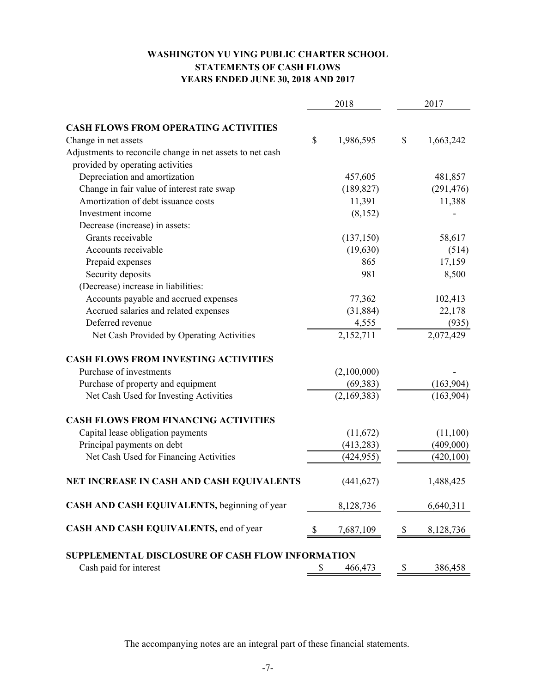## **WASHINGTON YU YING PUBLIC CHARTER SCHOOL STATEMENTS OF CASH FLOWS YEARS ENDED JUNE 30, 2018 AND 2017**

| 2018                                                      |                           |             |    | 2017       |  |  |
|-----------------------------------------------------------|---------------------------|-------------|----|------------|--|--|
| <b>CASH FLOWS FROM OPERATING ACTIVITIES</b>               |                           |             |    |            |  |  |
| Change in net assets                                      | \$                        | 1,986,595   | \$ | 1,663,242  |  |  |
| Adjustments to reconcile change in net assets to net cash |                           |             |    |            |  |  |
| provided by operating activities                          |                           |             |    |            |  |  |
| Depreciation and amortization                             |                           | 457,605     |    | 481,857    |  |  |
| Change in fair value of interest rate swap                |                           | (189, 827)  |    | (291, 476) |  |  |
| Amortization of debt issuance costs                       |                           | 11,391      |    | 11,388     |  |  |
| Investment income                                         |                           | (8, 152)    |    |            |  |  |
| Decrease (increase) in assets:                            |                           |             |    |            |  |  |
| Grants receivable                                         |                           | (137, 150)  |    | 58,617     |  |  |
| Accounts receivable                                       |                           | (19,630)    |    | (514)      |  |  |
| Prepaid expenses                                          |                           | 865         |    | 17,159     |  |  |
| Security deposits                                         |                           | 981         |    | 8,500      |  |  |
| (Decrease) increase in liabilities:                       |                           |             |    |            |  |  |
| Accounts payable and accrued expenses                     |                           | 77,362      |    | 102,413    |  |  |
| Accrued salaries and related expenses                     |                           | (31, 884)   |    | 22,178     |  |  |
| Deferred revenue                                          |                           | 4,555       |    | (935)      |  |  |
| Net Cash Provided by Operating Activities                 |                           | 2,152,711   |    | 2,072,429  |  |  |
| <b>CASH FLOWS FROM INVESTING ACTIVITIES</b>               |                           |             |    |            |  |  |
| Purchase of investments                                   |                           | (2,100,000) |    |            |  |  |
| Purchase of property and equipment                        |                           | (69, 383)   |    | (163,904)  |  |  |
| Net Cash Used for Investing Activities                    |                           | (2,169,383) |    | (163,904)  |  |  |
| <b>CASH FLOWS FROM FINANCING ACTIVITIES</b>               |                           |             |    |            |  |  |
| Capital lease obligation payments                         |                           | (11,672)    |    | (11,100)   |  |  |
| Principal payments on debt                                |                           | (413, 283)  |    | (409,000)  |  |  |
| Net Cash Used for Financing Activities                    |                           | (424, 955)  |    | (420, 100) |  |  |
| NET INCREASE IN CASH AND CASH EQUIVALENTS                 |                           | (441, 627)  |    | 1,488,425  |  |  |
| CASH AND CASH EQUIVALENTS, beginning of year              |                           | 8,128,736   |    | 6,640,311  |  |  |
| CASH AND CASH EQUIVALENTS, end of year                    | $\boldsymbol{\mathsf{S}}$ | 7,687,109   | \$ | 8,128,736  |  |  |
| SUPPLEMENTAL DISCLOSURE OF CASH FLOW INFORMATION          |                           |             |    |            |  |  |
| Cash paid for interest                                    | \$                        | 466,473     | \$ | 386,458    |  |  |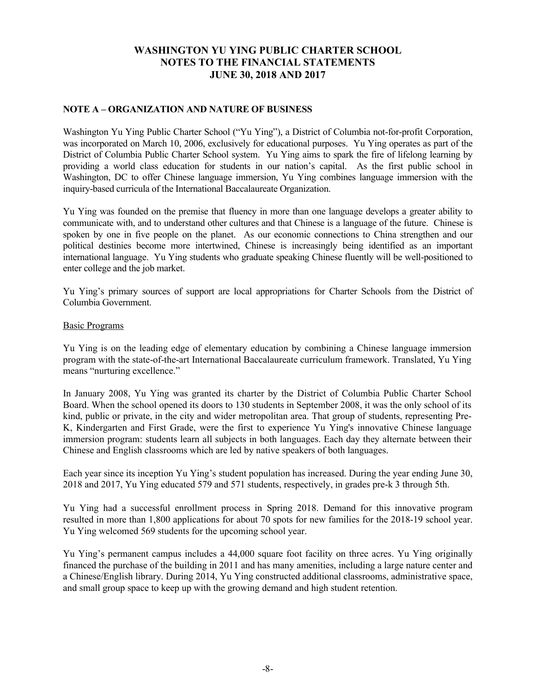## **NOTE A – ORGANIZATION AND NATURE OF BUSINESS**

Washington Yu Ying Public Charter School ("Yu Ying"), a District of Columbia not-for-profit Corporation, was incorporated on March 10, 2006, exclusively for educational purposes. Yu Ying operates as part of the District of Columbia Public Charter School system. Yu Ying aims to spark the fire of lifelong learning by providing a world class education for students in our nation's capital. As the first public school in Washington, DC to offer Chinese language immersion, Yu Ying combines language immersion with the inquiry-based curricula of the International Baccalaureate Organization.

Yu Ying was founded on the premise that fluency in more than one language develops a greater ability to communicate with, and to understand other cultures and that Chinese is a language of the future. Chinese is spoken by one in five people on the planet. As our economic connections to China strengthen and our political destinies become more intertwined, Chinese is increasingly being identified as an important international language. Yu Ying students who graduate speaking Chinese fluently will be well-positioned to enter college and the job market.

Yu Ying's primary sources of support are local appropriations for Charter Schools from the District of Columbia Government.

#### Basic Programs

Yu Ying is on the leading edge of elementary education by combining a Chinese language immersion program with the state-of-the-art International Baccalaureate curriculum framework. Translated, Yu Ying means "nurturing excellence."

In January 2008, Yu Ying was granted its charter by the District of Columbia Public Charter School Board. When the school opened its doors to 130 students in September 2008, it was the only school of its kind, public or private, in the city and wider metropolitan area. That group of students, representing Pre-K, Kindergarten and First Grade, were the first to experience Yu Ying's innovative Chinese language immersion program: students learn all subjects in both languages. Each day they alternate between their Chinese and English classrooms which are led by native speakers of both languages.

Each year since its inception Yu Ying's student population has increased. During the year ending June 30, 2018 and 2017, Yu Ying educated 579 and 571 students, respectively, in grades pre-k 3 through 5th.

Yu Ying had a successful enrollment process in Spring 2018. Demand for this innovative program resulted in more than 1,800 applications for about 70 spots for new families for the 2018-19 school year. Yu Ying welcomed 569 students for the upcoming school year.

Yu Ying's permanent campus includes a 44,000 square foot facility on three acres. Yu Ying originally financed the purchase of the building in 2011 and has many amenities, including a large nature center and a Chinese/English library. During 2014, Yu Ying constructed additional classrooms, administrative space, and small group space to keep up with the growing demand and high student retention.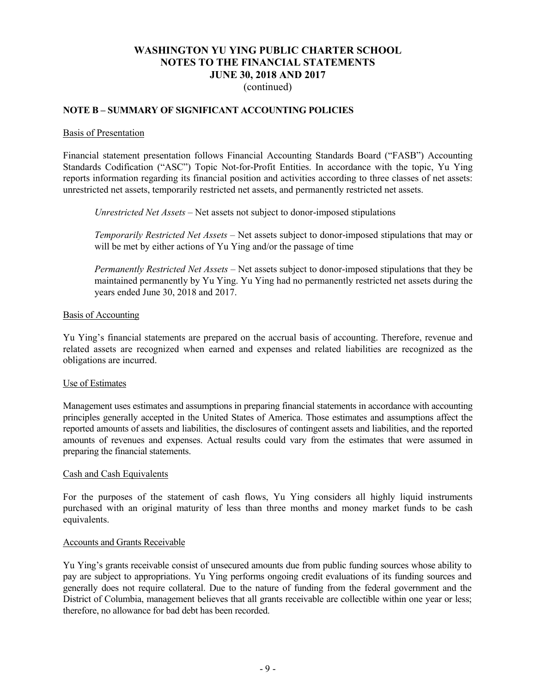(continued)

## **NOTE B – SUMMARY OF SIGNIFICANT ACCOUNTING POLICIES**

#### Basis of Presentation

Financial statement presentation follows Financial Accounting Standards Board ("FASB") Accounting Standards Codification ("ASC") Topic Not-for-Profit Entities. In accordance with the topic, Yu Ying reports information regarding its financial position and activities according to three classes of net assets: unrestricted net assets, temporarily restricted net assets, and permanently restricted net assets.

*Unrestricted Net Assets* – Net assets not subject to donor-imposed stipulations

*Temporarily Restricted Net Assets* – Net assets subject to donor-imposed stipulations that may or will be met by either actions of Yu Ying and/or the passage of time

*Permanently Restricted Net Assets* – Net assets subject to donor-imposed stipulations that they be maintained permanently by Yu Ying. Yu Ying had no permanently restricted net assets during the years ended June 30, 2018 and 2017.

### Basis of Accounting

Yu Ying's financial statements are prepared on the accrual basis of accounting. Therefore, revenue and related assets are recognized when earned and expenses and related liabilities are recognized as the obligations are incurred.

#### Use of Estimates

Management uses estimates and assumptions in preparing financial statements in accordance with accounting principles generally accepted in the United States of America. Those estimates and assumptions affect the reported amounts of assets and liabilities, the disclosures of contingent assets and liabilities, and the reported amounts of revenues and expenses. Actual results could vary from the estimates that were assumed in preparing the financial statements.

#### Cash and Cash Equivalents

For the purposes of the statement of cash flows, Yu Ying considers all highly liquid instruments purchased with an original maturity of less than three months and money market funds to be cash equivalents.

#### Accounts and Grants Receivable

Yu Ying's grants receivable consist of unsecured amounts due from public funding sources whose ability to pay are subject to appropriations. Yu Ying performs ongoing credit evaluations of its funding sources and generally does not require collateral. Due to the nature of funding from the federal government and the District of Columbia, management believes that all grants receivable are collectible within one year or less; therefore, no allowance for bad debt has been recorded.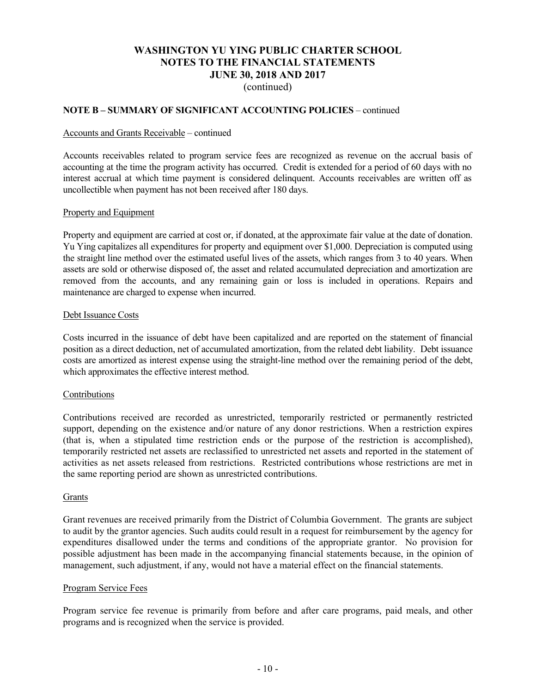(continued)

## **NOTE B – SUMMARY OF SIGNIFICANT ACCOUNTING POLICIES** – continued

#### Accounts and Grants Receivable – continued

Accounts receivables related to program service fees are recognized as revenue on the accrual basis of accounting at the time the program activity has occurred. Credit is extended for a period of 60 days with no interest accrual at which time payment is considered delinquent. Accounts receivables are written off as uncollectible when payment has not been received after 180 days.

#### Property and Equipment

Property and equipment are carried at cost or, if donated, at the approximate fair value at the date of donation. Yu Ying capitalizes all expenditures for property and equipment over \$1,000. Depreciation is computed using the straight line method over the estimated useful lives of the assets, which ranges from 3 to 40 years. When assets are sold or otherwise disposed of, the asset and related accumulated depreciation and amortization are removed from the accounts, and any remaining gain or loss is included in operations. Repairs and maintenance are charged to expense when incurred.

#### Debt Issuance Costs

Costs incurred in the issuance of debt have been capitalized and are reported on the statement of financial position as a direct deduction, net of accumulated amortization, from the related debt liability. Debt issuance costs are amortized as interest expense using the straight-line method over the remaining period of the debt, which approximates the effective interest method.

#### Contributions

Contributions received are recorded as unrestricted, temporarily restricted or permanently restricted support, depending on the existence and/or nature of any donor restrictions. When a restriction expires (that is, when a stipulated time restriction ends or the purpose of the restriction is accomplished), temporarily restricted net assets are reclassified to unrestricted net assets and reported in the statement of activities as net assets released from restrictions. Restricted contributions whose restrictions are met in the same reporting period are shown as unrestricted contributions.

#### Grants

Grant revenues are received primarily from the District of Columbia Government. The grants are subject to audit by the grantor agencies. Such audits could result in a request for reimbursement by the agency for expenditures disallowed under the terms and conditions of the appropriate grantor. No provision for possible adjustment has been made in the accompanying financial statements because, in the opinion of management, such adjustment, if any, would not have a material effect on the financial statements.

#### Program Service Fees

Program service fee revenue is primarily from before and after care programs, paid meals, and other programs and is recognized when the service is provided.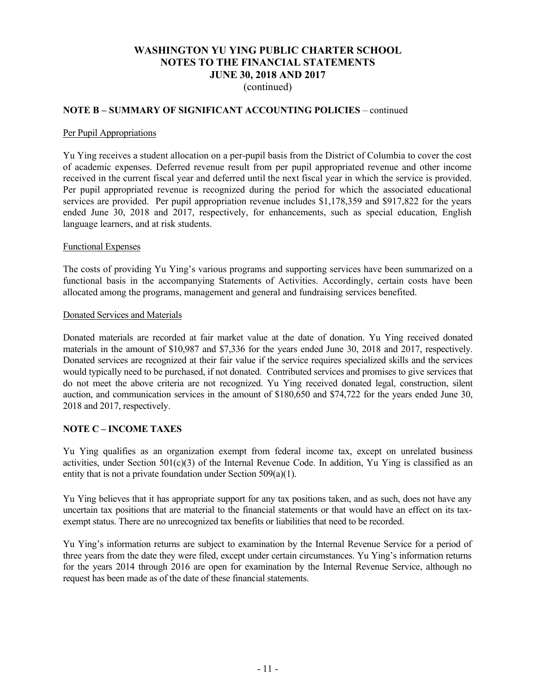(continued)

## **NOTE B – SUMMARY OF SIGNIFICANT ACCOUNTING POLICIES** – continued

#### Per Pupil Appropriations

Yu Ying receives a student allocation on a per-pupil basis from the District of Columbia to cover the cost of academic expenses. Deferred revenue result from per pupil appropriated revenue and other income received in the current fiscal year and deferred until the next fiscal year in which the service is provided. Per pupil appropriated revenue is recognized during the period for which the associated educational services are provided. Per pupil appropriation revenue includes \$1,178,359 and \$917,822 for the years ended June 30, 2018 and 2017, respectively, for enhancements, such as special education, English language learners, and at risk students.

#### Functional Expenses

The costs of providing Yu Ying's various programs and supporting services have been summarized on a functional basis in the accompanying Statements of Activities. Accordingly, certain costs have been allocated among the programs, management and general and fundraising services benefited.

#### Donated Services and Materials

Donated materials are recorded at fair market value at the date of donation. Yu Ying received donated materials in the amount of \$10,987 and \$7,336 for the years ended June 30, 2018 and 2017, respectively. Donated services are recognized at their fair value if the service requires specialized skills and the services would typically need to be purchased, if not donated. Contributed services and promises to give services that do not meet the above criteria are not recognized. Yu Ying received donated legal, construction, silent auction, and communication services in the amount of \$180,650 and \$74,722 for the years ended June 30, 2018 and 2017, respectively.

## **NOTE C – INCOME TAXES**

Yu Ying qualifies as an organization exempt from federal income tax, except on unrelated business activities, under Section  $501(c)(3)$  of the Internal Revenue Code. In addition, Yu Ying is classified as an entity that is not a private foundation under Section 509(a)(1).

Yu Ying believes that it has appropriate support for any tax positions taken, and as such, does not have any uncertain tax positions that are material to the financial statements or that would have an effect on its taxexempt status. There are no unrecognized tax benefits or liabilities that need to be recorded.

Yu Ying's information returns are subject to examination by the Internal Revenue Service for a period of three years from the date they were filed, except under certain circumstances. Yu Ying's information returns for the years 2014 through 2016 are open for examination by the Internal Revenue Service, although no request has been made as of the date of these financial statements.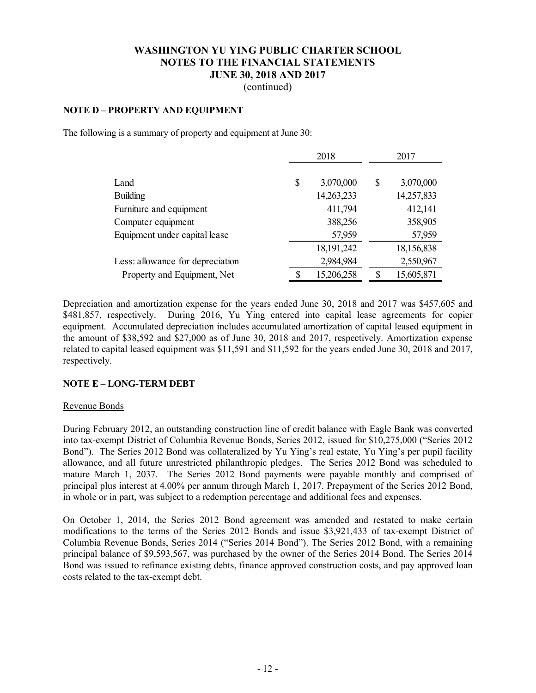(continued)

### **NOTE D – PROPERTY AND EQUIPMENT**

The following is a summary of property and equipment at June 30:

|                                  | 2018            | 2017 |            |  |
|----------------------------------|-----------------|------|------------|--|
|                                  |                 |      |            |  |
| Land                             | \$<br>3,070,000 | \$   | 3,070,000  |  |
| <b>Building</b>                  | 14,263,233      |      | 14,257,833 |  |
| Furniture and equipment          | 411,794         |      | 412,141    |  |
| Computer equipment               | 388,256         |      | 358,905    |  |
| Equipment under capital lease    | 57,959          |      | 57,959     |  |
|                                  | 18, 191, 242    |      | 18,156,838 |  |
| Less: allowance for depreciation | 2,984,984       |      | 2,550,967  |  |
| Property and Equipment, Net      | 15,206,258      | S    | 15,605,871 |  |

Depreciation and amortization expense for the years ended June 30, 2018 and 2017 was \$457,605 and \$481,857, respectively. During 2016, Yu Ying entered into capital lease agreements for copier equipment. Accumulated depreciation includes accumulated amortization of capital leased equipment in the amount of \$38,592 and \$27,000 as of June 30, 2018 and 2017, respectively. Amortization expense related to capital leased equipment was \$11,591 and \$11,592 for the years ended June 30, 2018 and 2017, respectively.

## **NOTE E – LONG-TERM DEBT**

#### Revenue Bonds

During February 2012, an outstanding construction line of credit balance with Eagle Bank was converted into tax-exempt District of Columbia Revenue Bonds, Series 2012, issued for \$10,275,000 ("Series 2012 Bond"). The Series 2012 Bond was collateralized by Yu Ying's real estate, Yu Ying's per pupil facility allowance, and all future unrestricted philanthropic pledges. The Series 2012 Bond was scheduled to mature March 1, 2037. The Series 2012 Bond payments were payable monthly and comprised of principal plus interest at 4.00% per annum through March 1, 2017. Prepayment of the Series 2012 Bond, in whole or in part, was subject to a redemption percentage and additional fees and expenses.

On October 1, 2014, the Series 2012 Bond agreement was amended and restated to make certain modifications to the terms of the Series 2012 Bonds and issue \$3,921,433 of tax-exempt District of Columbia Revenue Bonds, Series 2014 ("Series 2014 Bond"). The Series 2012 Bond, with a remaining principal balance of \$9,593,567, was purchased by the owner of the Series 2014 Bond. The Series 2014 Bond was issued to refinance existing debts, finance approved construction costs, and pay approved loan costs related to the tax-exempt debt.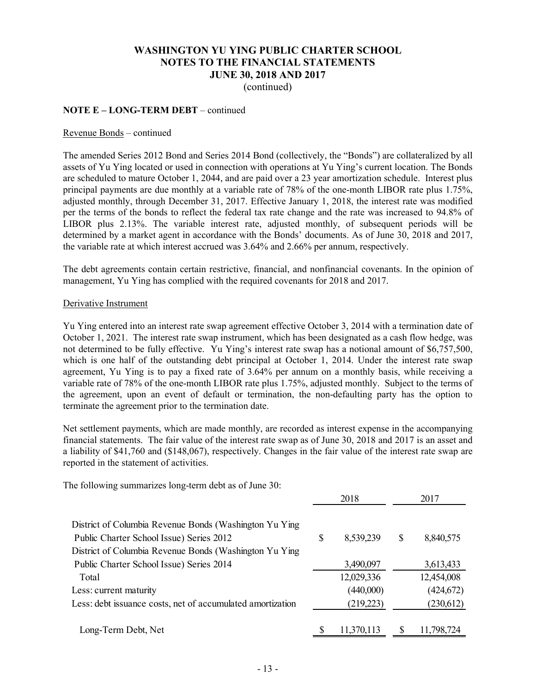(continued)

## **NOTE E – LONG-TERM DEBT** – continued

#### Revenue Bonds – continued

The amended Series 2012 Bond and Series 2014 Bond (collectively, the "Bonds") are collateralized by all assets of Yu Ying located or used in connection with operations at Yu Ying's current location. The Bonds are scheduled to mature October 1, 2044, and are paid over a 23 year amortization schedule. Interest plus principal payments are due monthly at a variable rate of 78% of the one-month LIBOR rate plus 1.75%, adjusted monthly, through December 31, 2017. Effective January 1, 2018, the interest rate was modified per the terms of the bonds to reflect the federal tax rate change and the rate was increased to 94.8% of LIBOR plus 2.13%. The variable interest rate, adjusted monthly, of subsequent periods will be determined by a market agent in accordance with the Bonds' documents. As of June 30, 2018 and 2017, the variable rate at which interest accrued was 3.64% and 2.66% per annum, respectively.

The debt agreements contain certain restrictive, financial, and nonfinancial covenants. In the opinion of management, Yu Ying has complied with the required covenants for 2018 and 2017.

#### Derivative Instrument

Yu Ying entered into an interest rate swap agreement effective October 3, 2014 with a termination date of October 1, 2021. The interest rate swap instrument, which has been designated as a cash flow hedge, was not determined to be fully effective. Yu Ying's interest rate swap has a notional amount of \$6,757,500, which is one half of the outstanding debt principal at October 1, 2014. Under the interest rate swap agreement, Yu Ying is to pay a fixed rate of 3.64% per annum on a monthly basis, while receiving a variable rate of 78% of the one-month LIBOR rate plus 1.75%, adjusted monthly. Subject to the terms of the agreement, upon an event of default or termination, the non-defaulting party has the option to terminate the agreement prior to the termination date.

Net settlement payments, which are made monthly, are recorded as interest expense in the accompanying financial statements. The fair value of the interest rate swap as of June 30, 2018 and 2017 is an asset and a liability of \$41,760 and (\$148,067), respectively. Changes in the fair value of the interest rate swap are reported in the statement of activities.

| riic following summarizes folig-term ucor as of June 50.                                                                                                     |   |            |      |            |
|--------------------------------------------------------------------------------------------------------------------------------------------------------------|---|------------|------|------------|
|                                                                                                                                                              |   | 2018       | 2017 |            |
| District of Columbia Revenue Bonds (Washington Yu Ying<br>Public Charter School Issue) Series 2012<br>District of Columbia Revenue Bonds (Washington Yu Ying | S | 8,539,239  | S    | 8,840,575  |
| Public Charter School Issue) Series 2014                                                                                                                     |   | 3,490,097  |      | 3,613,433  |
| Total                                                                                                                                                        |   | 12,029,336 |      | 12,454,008 |
| Less: current maturity                                                                                                                                       |   | (440,000)  |      | (424, 672) |
| Less: debt issuance costs, net of accumulated amortization                                                                                                   |   | (219,223)  |      | (230,612)  |
| Long-Term Debt, Net                                                                                                                                          | S | 11,370,113 | S    | 11,798,724 |

The following summarizes long-term debt as of June 30: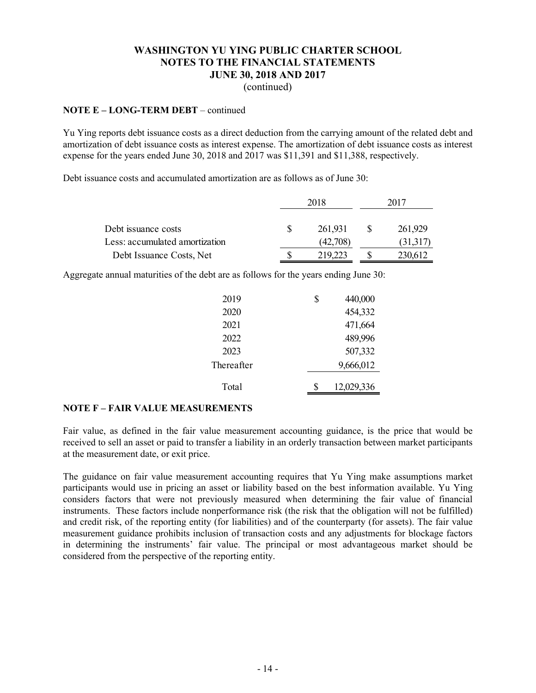(continued)

## **NOTE E – LONG-TERM DEBT** – continued

Yu Ying reports debt issuance costs as a direct deduction from the carrying amount of the related debt and amortization of debt issuance costs as interest expense. The amortization of debt issuance costs as interest expense for the years ended June 30, 2018 and 2017 was \$11,391 and \$11,388, respectively.

Debt issuance costs and accumulated amortization are as follows as of June 30:

|                                | 2018     | 2017 |          |  |
|--------------------------------|----------|------|----------|--|
|                                |          |      |          |  |
| Debt issuance costs            | 261,931  |      | 261,929  |  |
| Less: accumulated amortization | (42,708) |      | (31,317) |  |
| Debt Issuance Costs, Net       | 219.223  |      | 230,612  |  |

Aggregate annual maturities of the debt are as follows for the years ending June 30:

| 2019       | \$ | 440,000    |
|------------|----|------------|
| 2020       |    | 454,332    |
| 2021       |    | 471,664    |
| 2022       |    | 489,996    |
| 2023       |    | 507,332    |
| Thereafter |    | 9,666,012  |
| Total      | ς  | 12,029,336 |

## **NOTE F – FAIR VALUE MEASUREMENTS**

Fair value, as defined in the fair value measurement accounting guidance, is the price that would be received to sell an asset or paid to transfer a liability in an orderly transaction between market participants at the measurement date, or exit price.

The guidance on fair value measurement accounting requires that Yu Ying make assumptions market participants would use in pricing an asset or liability based on the best information available. Yu Ying considers factors that were not previously measured when determining the fair value of financial instruments. These factors include nonperformance risk (the risk that the obligation will not be fulfilled) and credit risk, of the reporting entity (for liabilities) and of the counterparty (for assets). The fair value measurement guidance prohibits inclusion of transaction costs and any adjustments for blockage factors in determining the instruments' fair value. The principal or most advantageous market should be considered from the perspective of the reporting entity.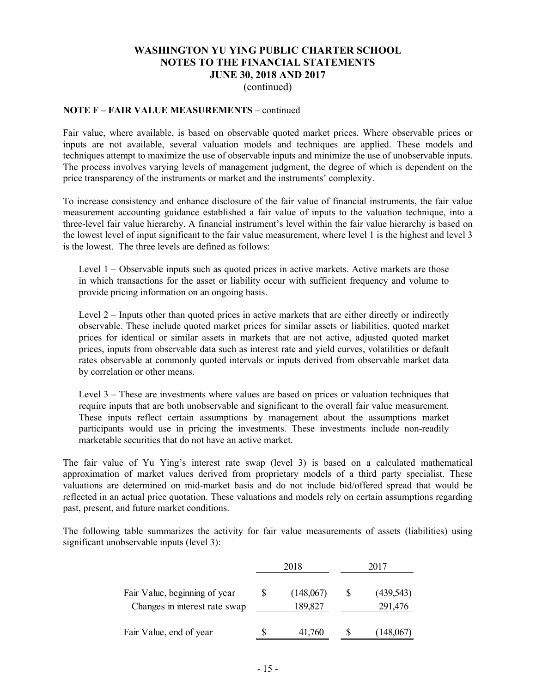(continued)

## **NOTE F – FAIR VALUE MEASUREMENTS** – continued

Fair value, where available, is based on observable quoted market prices. Where observable prices or inputs are not available, several valuation models and techniques are applied. These models and techniques attempt to maximize the use of observable inputs and minimize the use of unobservable inputs. The process involves varying levels of management judgment, the degree of which is dependent on the price transparency of the instruments or market and the instruments' complexity.

To increase consistency and enhance disclosure of the fair value of financial instruments, the fair value measurement accounting guidance established a fair value of inputs to the valuation technique, into a three-level fair value hierarchy. A financial instrument's level within the fair value hierarchy is based on the lowest level of input significant to the fair value measurement, where level 1 is the highest and level 3 is the lowest. The three levels are defined as follows:

Level 1 – Observable inputs such as quoted prices in active markets. Active markets are those in which transactions for the asset or liability occur with sufficient frequency and volume to provide pricing information on an ongoing basis.

Level 2 – Inputs other than quoted prices in active markets that are either directly or indirectly observable. These include quoted market prices for similar assets or liabilities, quoted market prices for identical or similar assets in markets that are not active, adjusted quoted market prices, inputs from observable data such as interest rate and yield curves, volatilities or default rates observable at commonly quoted intervals or inputs derived from observable market data by correlation or other means.

Level 3 – These are investments where values are based on prices or valuation techniques that require inputs that are both unobservable and significant to the overall fair value measurement. These inputs reflect certain assumptions by management about the assumptions market participants would use in pricing the investments. These investments include non-readily marketable securities that do not have an active market.

The fair value of Yu Ying's interest rate swap (level 3) is based on a calculated mathematical approximation of market values derived from proprietary models of a third party specialist. These valuations are determined on mid-market basis and do not include bid/offered spread that would be reflected in an actual price quotation. These valuations and models rely on certain assumptions regarding past, present, and future market conditions.

The following table summarizes the activity for fair value measurements of assets (liabilities) using significant unobservable inputs (level 3):

|                                                                | 2018                 | 2017 |                      |  |
|----------------------------------------------------------------|----------------------|------|----------------------|--|
| Fair Value, beginning of year<br>Changes in interest rate swap | (148,067)<br>189,827 |      | (439,543)<br>291,476 |  |
| Fair Value, end of year                                        | 41,760               |      | 148,067              |  |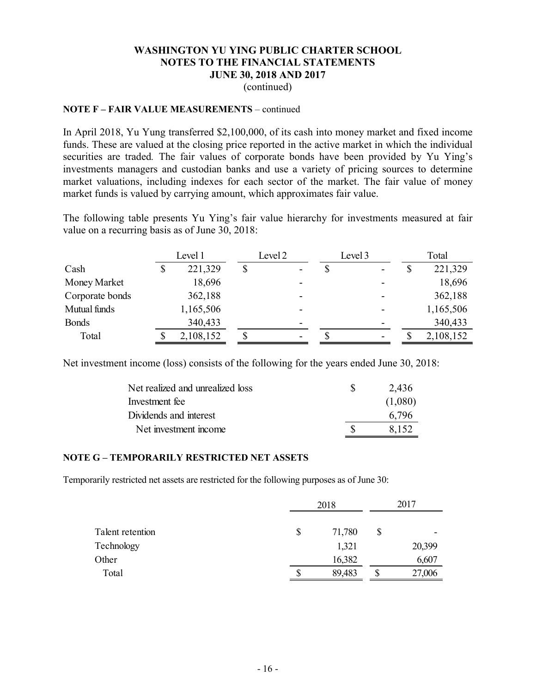(continued)

## **NOTE F – FAIR VALUE MEASUREMENTS** – continued

In April 2018, Yu Yung transferred \$2,100,000, of its cash into money market and fixed income funds. These are valued at the closing price reported in the active market in which the individual securities are traded*.* The fair values of corporate bonds have been provided by Yu Ying's investments managers and custodian banks and use a variety of pricing sources to determine market valuations, including indexes for each sector of the market. The fair value of money market funds is valued by carrying amount, which approximates fair value.

The following table presents Yu Ying's fair value hierarchy for investments measured at fair value on a recurring basis as of June 30, 2018:

|                 | Level 1   | Level 2                  |    | Level 3                  | Total     |
|-----------------|-----------|--------------------------|----|--------------------------|-----------|
| Cash            | 221,329   |                          | D  | $\overline{\phantom{a}}$ | 221,329   |
| Money Market    | 18,696    | $\overline{\phantom{0}}$ |    |                          | 18,696    |
| Corporate bonds | 362,188   |                          |    |                          | 362,188   |
| Mutual funds    | 1,165,506 |                          |    |                          | 1,165,506 |
| <b>Bonds</b>    | 340,433   | -                        |    |                          | 340,433   |
| Total           | 2,108,152 |                          | ۰D | $\overline{\phantom{0}}$ | 2,108,152 |

Net investment income (loss) consists of the following for the years ended June 30, 2018:

| Net realized and unrealized loss | 2,436   |
|----------------------------------|---------|
| Investment fee                   | (1,080) |
| Dividends and interest           | 6,796   |
| Net investment income            | 8.152   |

## **NOTE G – TEMPORARILY RESTRICTED NET ASSETS**

Temporarily restricted net assets are restricted for the following purposes as of June 30:

|                  | 2018         |    | 2017   |  |
|------------------|--------------|----|--------|--|
| Talent retention | \$<br>71,780 | \$ |        |  |
| Technology       | 1,321        |    | 20,399 |  |
| Other            | 16,382       |    | 6,607  |  |
| Total            | 89,483       | ۰D | 27,006 |  |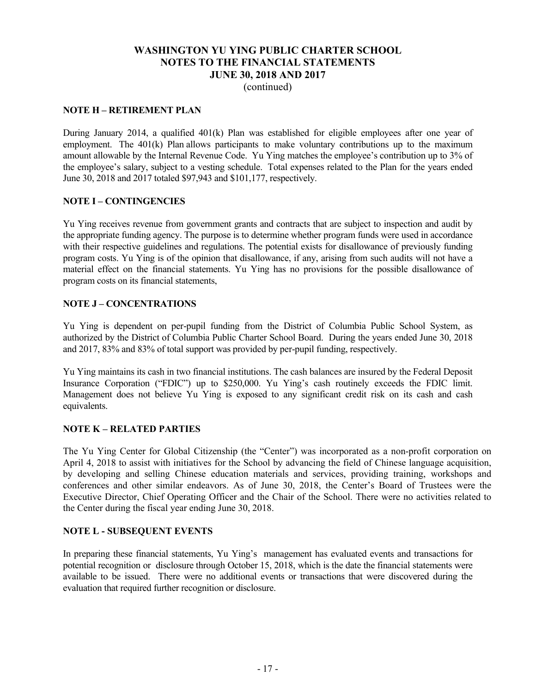(continued)

## **NOTE H – RETIREMENT PLAN**

During January 2014, a qualified 401(k) Plan was established for eligible employees after one year of employment. The 401(k) Plan allows participants to make voluntary contributions up to the maximum amount allowable by the Internal Revenue Code. Yu Ying matches the employee's contribution up to 3% of the employee's salary, subject to a vesting schedule. Total expenses related to the Plan for the years ended June 30, 2018 and 2017 totaled \$97,943 and \$101,177, respectively.

## **NOTE I – CONTINGENCIES**

Yu Ying receives revenue from government grants and contracts that are subject to inspection and audit by the appropriate funding agency. The purpose is to determine whether program funds were used in accordance with their respective guidelines and regulations. The potential exists for disallowance of previously funding program costs. Yu Ying is of the opinion that disallowance, if any, arising from such audits will not have a material effect on the financial statements. Yu Ying has no provisions for the possible disallowance of program costs on its financial statements,

## **NOTE J – CONCENTRATIONS**

Yu Ying is dependent on per-pupil funding from the District of Columbia Public School System, as authorized by the District of Columbia Public Charter School Board. During the years ended June 30, 2018 and 2017, 83% and 83% of total support was provided by per-pupil funding, respectively.

Yu Ying maintains its cash in two financial institutions. The cash balances are insured by the Federal Deposit Insurance Corporation ("FDIC") up to \$250,000. Yu Ying's cash routinely exceeds the FDIC limit. Management does not believe Yu Ying is exposed to any significant credit risk on its cash and cash equivalents.

## **NOTE K – RELATED PARTIES**

The Yu Ying Center for Global Citizenship (the "Center") was incorporated as a non-profit corporation on April 4, 2018 to assist with initiatives for the School by advancing the field of Chinese language acquisition, by developing and selling Chinese education materials and services, providing training, workshops and conferences and other similar endeavors. As of June 30, 2018, the Center's Board of Trustees were the Executive Director, Chief Operating Officer and the Chair of the School. There were no activities related to the Center during the fiscal year ending June 30, 2018.

## **NOTE L - SUBSEQUENT EVENTS**

In preparing these financial statements, Yu Ying's management has evaluated events and transactions for potential recognition or disclosure through October 15, 2018, which is the date the financial statements were available to be issued. There were no additional events or transactions that were discovered during the evaluation that required further recognition or disclosure.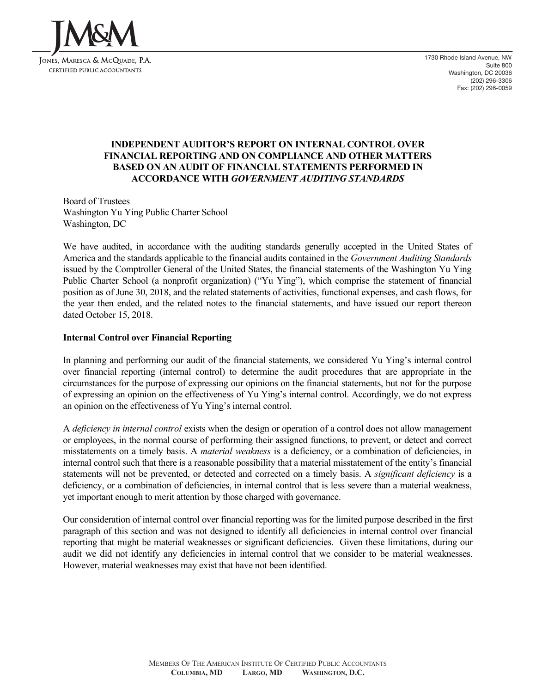

1730 Rhode Island Avenue, NW Suite 800 Washington, DC 20036 (202) 296-3306 Fax: (202) 296-0059

## **INDEPENDENT AUDITOR'S REPORT ON INTERNAL CONTROL OVER FINANCIAL REPORTING AND ON COMPLIANCE AND OTHER MATTERS BASED ON AN AUDIT OF FINANCIAL STATEMENTS PERFORMED IN ACCORDANCE WITH** *GOVERNMENT AUDITING STANDARDS*

Board of Trustees Washington Yu Ying Public Charter School Washington, DC

We have audited, in accordance with the auditing standards generally accepted in the United States of America and the standards applicable to the financial audits contained in the *Government Auditing Standards* issued by the Comptroller General of the United States, the financial statements of the Washington Yu Ying Public Charter School (a nonprofit organization) ("Yu Ying"), which comprise the statement of financial position as of June 30, 2018, and the related statements of activities, functional expenses, and cash flows, for the year then ended, and the related notes to the financial statements, and have issued our report thereon dated October 15, 2018.

## **Internal Control over Financial Reporting**

In planning and performing our audit of the financial statements, we considered Yu Ying's internal control over financial reporting (internal control) to determine the audit procedures that are appropriate in the circumstances for the purpose of expressing our opinions on the financial statements, but not for the purpose of expressing an opinion on the effectiveness of Yu Ying's internal control. Accordingly, we do not express an opinion on the effectiveness of Yu Ying's internal control.

A *deficiency in internal control* exists when the design or operation of a control does not allow management or employees, in the normal course of performing their assigned functions, to prevent, or detect and correct misstatements on a timely basis. A *material weakness* is a deficiency, or a combination of deficiencies, in internal control such that there is a reasonable possibility that a material misstatement of the entity's financial statements will not be prevented, or detected and corrected on a timely basis. A *significant deficiency* is a deficiency, or a combination of deficiencies, in internal control that is less severe than a material weakness, yet important enough to merit attention by those charged with governance.

Our consideration of internal control over financial reporting was for the limited purpose described in the first paragraph of this section and was not designed to identify all deficiencies in internal control over financial reporting that might be material weaknesses or significant deficiencies. Given these limitations, during our audit we did not identify any deficiencies in internal control that we consider to be material weaknesses. However, material weaknesses may exist that have not been identified.